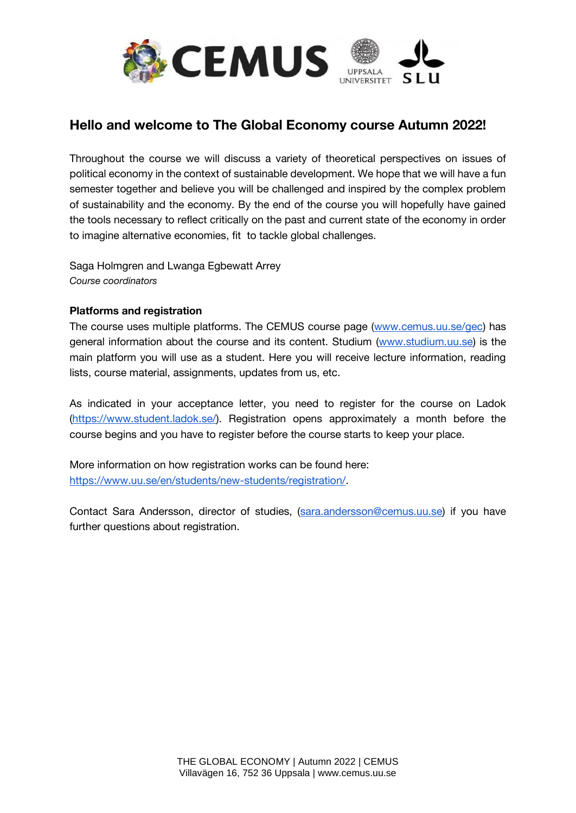

## **Hello and welcome to The Global Economy course Autumn 2022!**

Throughout the course we will discuss a variety of theoretical perspectives on issues of political economy in the context of sustainable development. We hope that we will have a fun semester together and believe you will be challenged and inspired by the complex problem of sustainability and the economy. By the end of the course you will hopefully have gained the tools necessary to reflect critically on the past and current state of the economy in order to imagine alternative economies, fit to tackle global challenges.

Saga Holmgren and Lwanga Egbewatt Arrey *Course coordinators*

## **Platforms and registration**

The course uses multiple platforms. The CEMUS course page [\(www.cemus.uu.se/gec\)](http://www.cemus.uu.se/gec) has general information about the course and its content. Studium [\(www.studium.uu.se\)](http://www.studium.uu.se/) is the main platform you will use as a student. Here you will receive lecture information, reading lists, course material, assignments, updates from us, etc.

As indicated in your acceptance letter, you need to register for the course on Ladok [\(https://www.student.ladok.se/\)](https://www.student.ladok.se/). Registration opens approximately a month before the course begins and you have to register before the course starts to keep your place.

More information on how registration works can be found here: [https://www.uu.se/en/students/new-students/registration/.](https://www.uu.se/en/students/new-students/registration/)

Contact Sara Andersson, director of studies, [\(sara.andersson@cemus.uu.se\)](mailto:sara.andersson@cemus.uu.se) if you have further questions about registration.